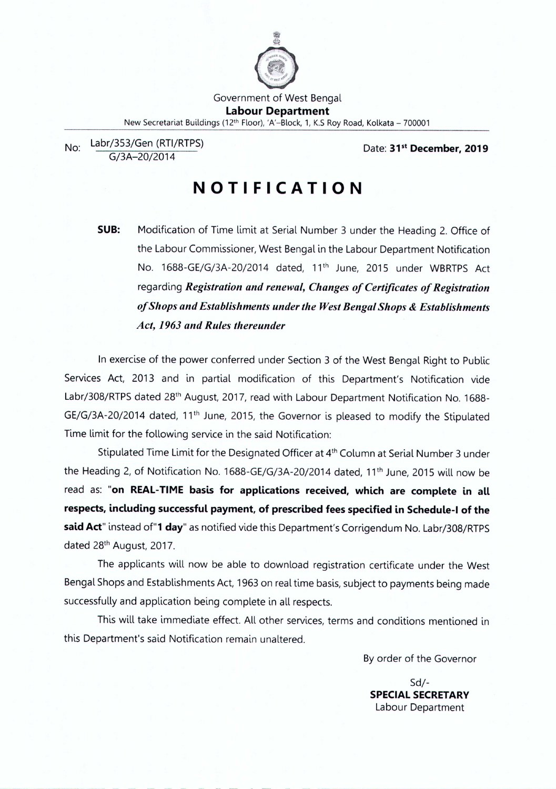

No: Labr/353/Gen (RTI/RTPS) G/3A-20/2014

Date: **31 st December, 2019**

# **NOTIFICATION**

**SUB:** Modification of Time limit at Serial Number 3 under the Heading 2. Office of the Labour Commissioner, West Bengal in the Labour Department Notification No. 1688-GE/G/3A-20/2014 dated, 11<sup>th</sup> June, 2015 under WBRTPS Act regarding *Registration and renewal, Changes of Certificates of Registration of Shops and Establishments under the WestBengal Shops* & *Establishments Act,* 1963*and Rules thereunder*

In exercise of the power conferred under Section 3 of the West Bengal Right to Public Services Act, 2013 and in partial modification of this Department's Notification vide Labr/308/RTPS dated 28<sup>th</sup> August, 2017, read with Labour Department Notification No. 1688-GE/G/3A-20/2014 dated, 11<sup>th</sup> June, 2015, the Governor is pleased to modify the Stipulated Time limit for the following service in the said Notification:

Stipulated Time Limit for the Designated Officer at 4<sup>th</sup> Column at Serial Number 3 under the Heading 2, of Notification No. 1688-GE/G/3A-20/2014 dated, 11<sup>th</sup> June, 2015 will now be read as: "on **REAL-TIME basis for applications received, which are complete in all respects, including successful payment, of prescribed fees specified in Schedule-I of the said** Act" instead of"1 day" as notified vide this Department's Corrigendum No. Labr/308/RTPS dated 28<sup>th</sup> August, 2017.

The applicants will now be able to download registration certificate under the West Bengal Shops and Establishments Act, 1963 on real time basis, subject to payments being made successfully and application being complete in all respects.

This will take immediate effect. All other services, terms and conditions mentioned in this Department's said Notification remain unaltered.

Byorder of the Governor

Sd/- **SPECIALSECRETARY** Labour Department